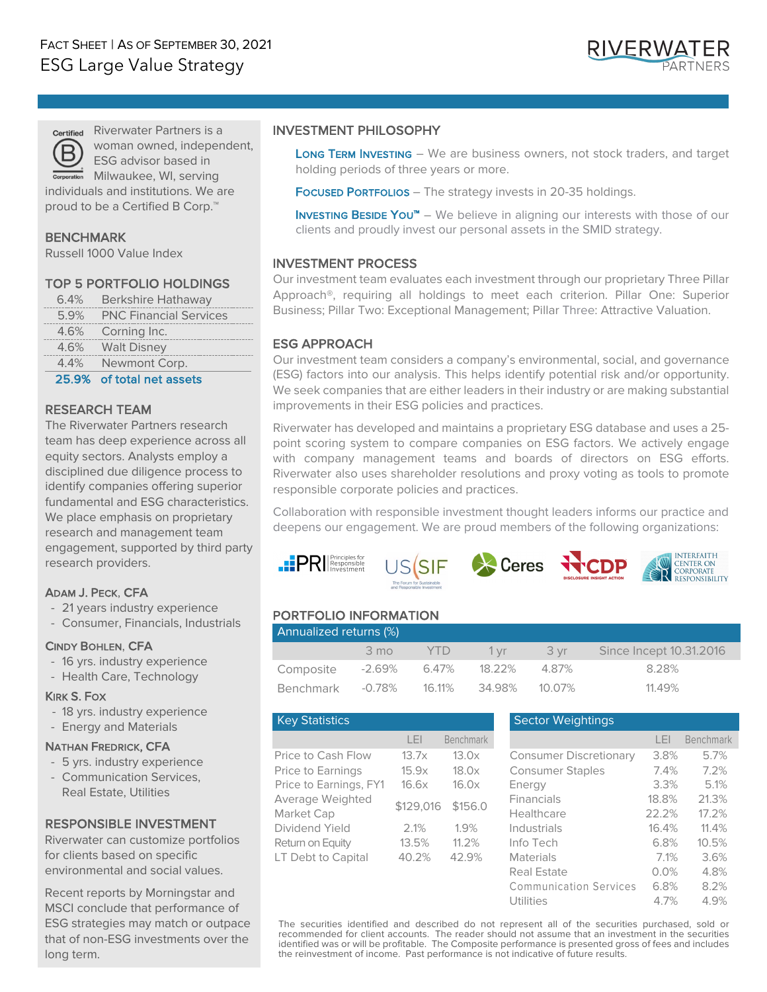

Riverwater Partners is a woman owned, independent, ESG advisor based in

Milwaukee, WI, serving individuals and institutions. We are proud to be a Certified B Corp.<sup>™</sup>

# BENCHMARK

Russell 1000 Value Index

#### TOP 5 PORTFOLIO HOLDINGS

| 6.4% Berkshire Hathaway     |
|-----------------------------|
| 5.9% PNC Financial Services |
| 4.6% Corning Inc.           |
| 4.6% Walt Disney            |
| 4.4% Newmont Corp.          |

25.9% of total net assets

#### RESEARCH TEAM

The Riverwater Partners research team has deep experience across all equity sectors. Analysts employ a disciplined due diligence process to identify companies offering superior fundamental and ESG characteristics. We place emphasis on proprietary research and management team engagement, supported by third party research providers.

# ADAM J. PECK, CFA

- 21 years industry experience
- Consumer, Financials, Industrials

#### CINDY BOHLEN, CFA

- 16 yrs. industry experience
- Health Care, Technology

#### KIRK S. FOX

- 18 yrs. industry experience
- Energy and Materials

#### NATHAN FREDRICK, CFA

- 5 yrs. industry experience
- Communication Services, Real Estate, Utilities

# RESPONSIBLE INVESTMENT

Riverwater can customize portfolios for clients based on specific environmental and social values.

Recent reports by Morningstar and MSCI conclude that performance of ESG strategies may match or outpace that of non-ESG investments over the long term.

#### INVESTMENT PHILOSOPHY

LONG TERM INVESTING - We are business owners, not stock traders, and target holding periods of three years or more.

FOCUSED PORTFOLIOS - The strategy invests in 20-35 holdings.

**INVESTING BESIDE YOU™** – We believe in aligning our interests with those of our clients and proudly invest our personal assets in the SMID strategy.

# INVESTMENT PROCESS

Our investment team evaluates each investment through our proprietary Three Pillar Approach®, requiring all holdings to meet each criterion. Pillar One: Superior Business; Pillar Two: Exceptional Management; Pillar Three: Attractive Valuation.

# ESG APPROACH

Our investment team considers a company's environmental, social, and governance (ESG) factors into our analysis. This helps identify potential risk and/or opportunity. We seek companies that are either leaders in their industry or are making substantial improvements in their ESG policies and practices.

Riverwater has developed and maintains a proprietary ESG database and uses a 25 point scoring system to compare companies on ESG factors. We actively engage with company management teams and boards of directors on ESG efforts. Riverwater also uses shareholder resolutions and proxy voting as tools to promote responsible corporate policies and practices.

Collaboration with responsible investment thought leaders informs our practice and deepens our engagement. We are proud members of the following organizations:









# PORTFOLIO INFORMATION

| Annualized returns (%) |                |         |                    |       |                         |  |  |  |
|------------------------|----------------|---------|--------------------|-------|-------------------------|--|--|--|
|                        | $3 \text{ mo}$ | $-$ YTD | $-1 \,\mathrm{vr}$ | 3 vr  | Since Incept 10.31.2016 |  |  |  |
| Composite              |                |         | 18.22%             | 4.87% | 8.28%                   |  |  |  |
| Benchmark              | -0.78%         | 16.11%  | 34.98% 10.07%      |       | 11.49%                  |  |  |  |

| <b>Key Statistics</b>                  |                |                |
|----------------------------------------|----------------|----------------|
|                                        | I FI           | Benchmark      |
| Price to Cash Flow                     | 13.7x          | 13.0x          |
| Price to Earnings                      | 15.9x          | 18.0x          |
| Price to Earnings, FY1                 | 16.6x          | 16.0x          |
| Average Weighted<br>Market Cap         | \$129,016      | \$156.0        |
| Dividend Yield                         | 2.1%           | 1.9%           |
| Return on Equity<br>LT Debt to Capital | 13.5%<br>40.2% | 11.2%<br>42.9% |

#### **Sector Weightings**

|                        | LEI       | <b>Benchmark</b> |                               | LEI   | <b>Benchmark</b> |
|------------------------|-----------|------------------|-------------------------------|-------|------------------|
| Price to Cash Flow     | 13.7x     | 13.0x            | <b>Consumer Discretionary</b> | 3.8%  | 5.7%             |
| Price to Earnings      | 15.9x     | 18.0x            | <b>Consumer Staples</b>       | 7.4%  | 7.2%             |
| Price to Earnings, FY1 | 16.6x     | 16.0x            | Energy                        | 3.3%  | 5.1%             |
| Average Weighted       | \$129,016 | \$156.0          | <b>Financials</b>             | 18.8% | 21.3%            |
| Market Cap             |           |                  | Healthcare                    | 22.2% | 17.2%            |
| Dividend Yield         | 2.1%      | 1.9%             | Industrials                   | 16.4% | 11.4%            |
| Return on Equity       | 13.5%     | 11.2%            | Info Tech                     | 6.8%  | 10.5%            |
| LT Debt to Capital     | 40.2%     | 42.9%            | <b>Materials</b>              | 7.1%  | 3.6%             |
|                        |           |                  | Real Estate                   | 0.0%  | 4.8%             |
|                        |           |                  | <b>Communication Services</b> | 6.8%  | 8.2%             |
|                        |           |                  | Utilities                     | 4.7%  | 4.9%             |

The securities identified and described do not represent all of the securities purchased, sold or recommended for client accounts. The reader should not assume that an investment in the securities identified was or will be profitable. The Composite performance is presented gross of fees and includes the reinvestment of income. Past performance is not indicative of future results.